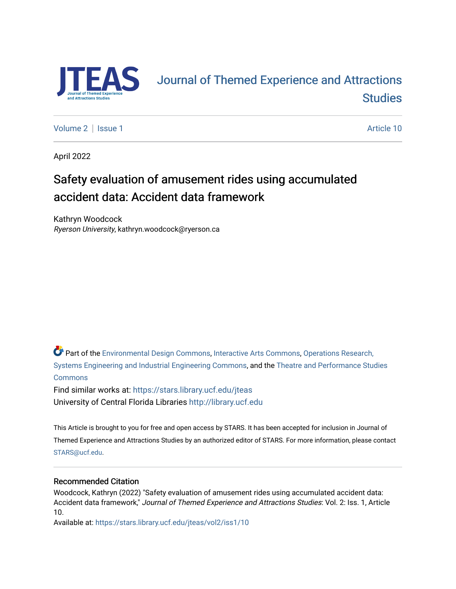

# [Journal of Themed Experience and Attractions](https://stars.library.ucf.edu/jteas)  **Studies**

[Volume 2](https://stars.library.ucf.edu/jteas/vol2) | [Issue 1](https://stars.library.ucf.edu/jteas/vol2/iss1) Article 10

April 2022

# Safety evaluation of amusement rides using accumulated accident data: Accident data framework

Kathryn Woodcock Ryerson University, kathryn.woodcock@ryerson.ca

Part of the [Environmental Design Commons,](http://network.bepress.com/hgg/discipline/777?utm_source=stars.library.ucf.edu%2Fjteas%2Fvol2%2Fiss1%2F10&utm_medium=PDF&utm_campaign=PDFCoverPages) [Interactive Arts Commons](http://network.bepress.com/hgg/discipline/1136?utm_source=stars.library.ucf.edu%2Fjteas%2Fvol2%2Fiss1%2F10&utm_medium=PDF&utm_campaign=PDFCoverPages), [Operations Research,](http://network.bepress.com/hgg/discipline/305?utm_source=stars.library.ucf.edu%2Fjteas%2Fvol2%2Fiss1%2F10&utm_medium=PDF&utm_campaign=PDFCoverPages)  [Systems Engineering and Industrial Engineering Commons](http://network.bepress.com/hgg/discipline/305?utm_source=stars.library.ucf.edu%2Fjteas%2Fvol2%2Fiss1%2F10&utm_medium=PDF&utm_campaign=PDFCoverPages), and the [Theatre and Performance Studies](http://network.bepress.com/hgg/discipline/552?utm_source=stars.library.ucf.edu%2Fjteas%2Fvol2%2Fiss1%2F10&utm_medium=PDF&utm_campaign=PDFCoverPages)  [Commons](http://network.bepress.com/hgg/discipline/552?utm_source=stars.library.ucf.edu%2Fjteas%2Fvol2%2Fiss1%2F10&utm_medium=PDF&utm_campaign=PDFCoverPages)

Find similar works at: <https://stars.library.ucf.edu/jteas> University of Central Florida Libraries [http://library.ucf.edu](http://library.ucf.edu/) 

This Article is brought to you for free and open access by STARS. It has been accepted for inclusion in Journal of Themed Experience and Attractions Studies by an authorized editor of STARS. For more information, please contact [STARS@ucf.edu](mailto:STARS@ucf.edu).

## Recommended Citation

Woodcock, Kathryn (2022) "Safety evaluation of amusement rides using accumulated accident data: Accident data framework," Journal of Themed Experience and Attractions Studies: Vol. 2: Iss. 1, Article 10.

Available at: [https://stars.library.ucf.edu/jteas/vol2/iss1/10](https://stars.library.ucf.edu/jteas/vol2/iss1/10?utm_source=stars.library.ucf.edu%2Fjteas%2Fvol2%2Fiss1%2F10&utm_medium=PDF&utm_campaign=PDFCoverPages)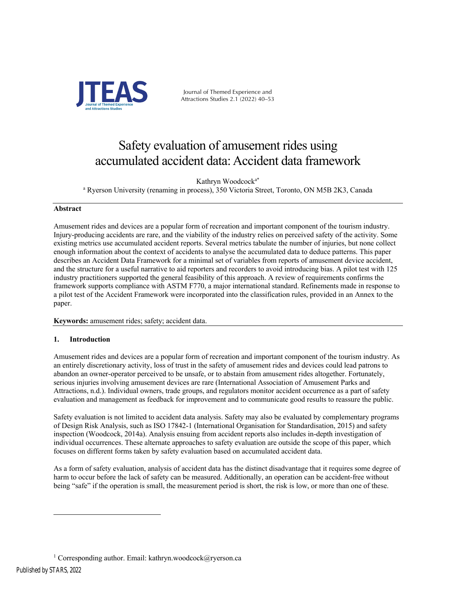

Journal of Themed Experience and Attractions Studies 2.1 (2022) 40–53

# Safety evaluation of amusement rides using accumulated accident data: Accident data framework

Kathryn Woodcocka\*

<sup>a</sup> Ryerson University (renaming in process), 350 Victoria Street, Toronto, ON M5B 2K3, Canada

## **Abstract**

Amusement rides and devices are a popular form of recreation and important component of the tourism industry. Injury-producing accidents are rare, and the viability of the industry relies on perceived safety of the activity. Some existing metrics use accumulated accident reports. Several metrics tabulate the number of injuries, but none collect enough information about the context of accidents to analyse the accumulated data to deduce patterns. This paper describes an Accident Data Framework for a minimal set of variables from reports of amusement device accident, and the structure for a useful narrative to aid reporters and recorders to avoid introducing bias. A pilot test with 125 industry practitioners supported the general feasibility of this approach. A review of requirements confirms the framework supports compliance with ASTM F770, a major international standard. Refinements made in response to a pilot test of the Accident Framework were incorporated into the classification rules, provided in an Annex to the paper.

**Keywords:** amusement rides; safety; accident data.

# **1. Introduction**

Amusement rides and devices are a popular form of recreation and important component of the tourism industry. As an entirely discretionary activity, loss of trust in the safety of amusement rides and devices could lead patrons to abandon an owner-operator perceived to be unsafe, or to abstain from amusement rides altogether. Fortunately, serious injuries involving amusement devices are rare (International Association of Amusement Parks and Attractions, n.d.). Individual owners, trade groups, and regulators monitor accident occurrence as a part of safety evaluation and management as feedback for improvement and to communicate good results to reassure the public.

Safety evaluation is not limited to accident data analysis. Safety may also be evaluated by complementary programs of Design Risk Analysis, such as ISO 17842-1 (International Organisation for Standardisation, 2015) and safety inspection (Woodcock, 2014a). Analysis ensuing from accident reports also includes in-depth investigation of individual occurrences. These alternate approaches to safety evaluation are outside the scope of this paper, which focuses on different forms taken by safety evaluation based on accumulated accident data.

As a form of safety evaluation, analysis of accident data has the distinct disadvantage that it requires some degree of harm to occur before the lack of safety can be measured. Additionally, an operation can be accident-free without being "safe" if the operation is small, the measurement period is short, the risk is low, or more than one of these.

<sup>&</sup>lt;sup>1</sup> Corresponding author. Email: kathryn.woodcock@ryerson.ca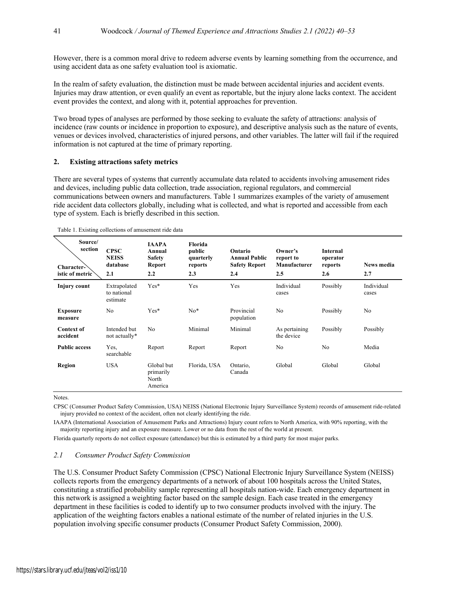However, there is a common moral drive to redeem adverse events by learning something from the occurrence, and using accident data as one safety evaluation tool is axiomatic.

In the realm of safety evaluation, the distinction must be made between accidental injuries and accident events. Injuries may draw attention, or even qualify an event as reportable, but the injury alone lacks context. The accident event provides the context, and along with it, potential approaches for prevention.

Two broad types of analyses are performed by those seeking to evaluate the safety of attractions: analysis of incidence (raw counts or incidence in proportion to exposure), and descriptive analysis such as the nature of events, venues or devices involved, characteristics of injured persons, and other variables. The latter will fail if the required information is not captured at the time of primary reporting.

#### **2. Existing attractions safety metrics**

There are several types of systems that currently accumulate data related to accidents involving amusement rides and devices, including public data collection, trade association, regional regulators, and commercial communications between owners and manufacturers. Table 1 summarizes examples of the variety of amusement ride accident data collectors globally, including what is collected, and what is reported and accessible from each type of system. Each is briefly described in this section.

| Source/<br>section<br>Character-<br>istic of metric | <b>CPSC</b><br><b>NEISS</b><br>database<br>2.1 | <b>IAAPA</b><br>Annual<br><b>Safety</b><br>Report<br>2.2 | Florida<br>public<br>quarterly<br>reports<br>2.3 | Ontario<br><b>Annual Public</b><br><b>Safety Report</b><br>2.4 | Owner's<br>report to<br>Manufacturer<br>2.5 | <b>Internal</b><br>operator<br>reports<br>2.6 | <b>News media</b><br>2.7 |
|-----------------------------------------------------|------------------------------------------------|----------------------------------------------------------|--------------------------------------------------|----------------------------------------------------------------|---------------------------------------------|-----------------------------------------------|--------------------------|
| Injury count                                        | Extrapolated<br>to national<br>estimate        | $Yes*$                                                   | Yes                                              | Yes                                                            | Individual<br>cases                         | Possibly                                      | Individual<br>cases      |
| <b>Exposure</b><br>measure                          | No                                             | $Yes*$                                                   | $No*$                                            | Provincial<br>population                                       | No                                          | Possibly                                      | No                       |
| <b>Context of</b><br>accident                       | Intended but<br>not actually*                  | No                                                       | Minimal                                          | Minimal                                                        | As pertaining<br>the device                 | Possibly                                      | Possibly                 |
| <b>Public access</b>                                | Yes.<br>searchable                             | Report                                                   | Report                                           | Report                                                         | No                                          | No.                                           | Media                    |
| Region                                              | <b>USA</b>                                     | Global but<br>primarily<br>North<br>America              | Florida, USA                                     | Ontario,<br>Canada                                             | Global                                      | Global                                        | Global                   |

Table 1. Existing collections of amusement ride data

**Notes**.

CPSC (Consumer Product Safety Commission, USA) NEISS (National Electronic Injury Surveillance System) records of amusement ride-related injury provided no context of the accident, often not clearly identifying the ride.

IAAPA (International Association of Amusement Parks and Attractions) Injury count refers to North America, with 90% reporting, with the majority reporting injury and an exposure measure. Lower or no data from the rest of the world at present.

Florida quarterly reports do not collect exposure (attendance) but this is estimated by a third party for most major parks.

#### *2.1 Consumer Product Safety Commission*

The U.S. Consumer Product Safety Commission (CPSC) National Electronic Injury Surveillance System (NEISS) collects reports from the emergency departments of a network of about 100 hospitals across the United States, constituting a stratified probability sample representing all hospitals nation-wide. Each emergency department in this network is assigned a weighting factor based on the sample design. Each case treated in the emergency department in these facilities is coded to identify up to two consumer products involved with the injury. The application of the weighting factors enables a national estimate of the number of related injuries in the U.S. population involving specific consumer products (Consumer Product Safety Commission, 2000).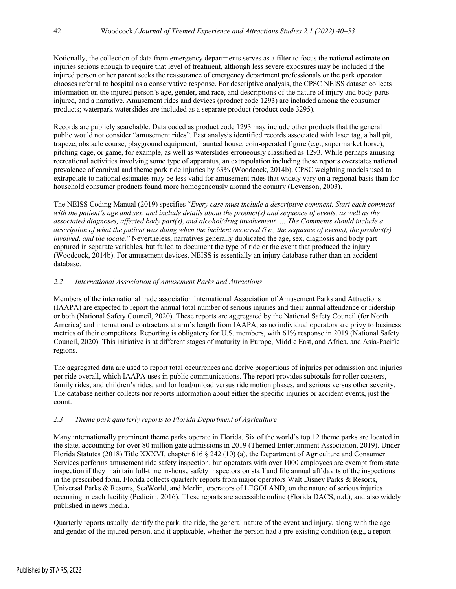Notionally, the collection of data from emergency departments serves as a filter to focus the national estimate on injuries serious enough to require that level of treatment, although less severe exposures may be included if the injured person or her parent seeks the reassurance of emergency department professionals or the park operator chooses referral to hospital as a conservative response. For descriptive analysis, the CPSC NEISS dataset collects information on the injured person's age, gender, and race, and descriptions of the nature of injury and body parts injured, and a narrative. Amusement rides and devices (product code 1293) are included among the consumer products; waterpark waterslides are included as a separate product (product code 3295).

Records are publicly searchable. Data coded as product code 1293 may include other products that the general public would not consider "amusement rides". Past analysis identified records associated with laser tag, a ball pit, trapeze, obstacle course, playground equipment, haunted house, coin-operated figure (e.g., supermarket horse), pitching cage, or game, for example, as well as waterslides erroneously classified as 1293. While perhaps amusing recreational activities involving some type of apparatus, an extrapolation including these reports overstates national prevalence of carnival and theme park ride injuries by 63% (Woodcock, 2014b). CPSC weighting models used to extrapolate to national estimates may be less valid for amusement rides that widely vary on a regional basis than for household consumer products found more homogeneously around the country (Levenson, 2003).

The NEISS Coding Manual (2019) specifies "*Every case must include a descriptive comment. Start each comment with the patient's age and sex, and include details about the product(s) and sequence of events, as well as the associated diagnoses, affected body part(s), and alcohol/drug involvement. … The Comments should include a description of what the patient was doing when the incident occurred (i.e., the sequence of events), the product(s) involved, and the locale.*" Nevertheless, narratives generally duplicated the age, sex, diagnosis and body part captured in separate variables, but failed to document the type of ride or the event that produced the injury (Woodcock, 2014b). For amusement devices, NEISS is essentially an injury database rather than an accident database.

## *2.2 International Association of Amusement Parks and Attractions*

Members of the international trade association International Association of Amusement Parks and Attractions (IAAPA) are expected to report the annual total number of serious injuries and their annual attendance or ridership or both (National Safety Council, 2020). These reports are aggregated by the National Safety Council (for North America) and international contractors at arm's length from IAAPA, so no individual operators are privy to business metrics of their competitors. Reporting is obligatory for U.S. members, with 61% response in 2019 (National Safety Council, 2020). This initiative is at different stages of maturity in Europe, Middle East, and Africa, and Asia-Pacific regions.

The aggregated data are used to report total occurrences and derive proportions of injuries per admission and injuries per ride overall, which IAAPA uses in public communications. The report provides subtotals for roller coasters, family rides, and children's rides, and for load/unload versus ride motion phases, and serious versus other severity. The database neither collects nor reports information about either the specific injuries or accident events, just the count.

## *2.3 Theme park quarterly reports to Florida Department of Agriculture*

Many internationally prominent theme parks operate in Florida. Six of the world's top 12 theme parks are located in the state, accounting for over 80 million gate admissions in 2019 (Themed Entertainment Association, 2019). Under Florida Statutes (2018) Title XXXVI, chapter 616 § 242 (10) (a), the Department of Agriculture and Consumer Services performs amusement ride safety inspection, but operators with over 1000 employees are exempt from state inspection if they maintain full-time in-house safety inspectors on staff and file annual affidavits of the inspections in the prescribed form. Florida collects quarterly reports from major operators Walt Disney Parks & Resorts, Universal Parks & Resorts, SeaWorld, and Merlin, operators of LEGOLAND, on the nature of serious injuries occurring in each facility (Pedicini, 2016). These reports are accessible online (Florida DACS, n.d.), and also widely published in news media.

Quarterly reports usually identify the park, the ride, the general nature of the event and injury, along with the age and gender of the injured person, and if applicable, whether the person had a pre-existing condition (e.g., a report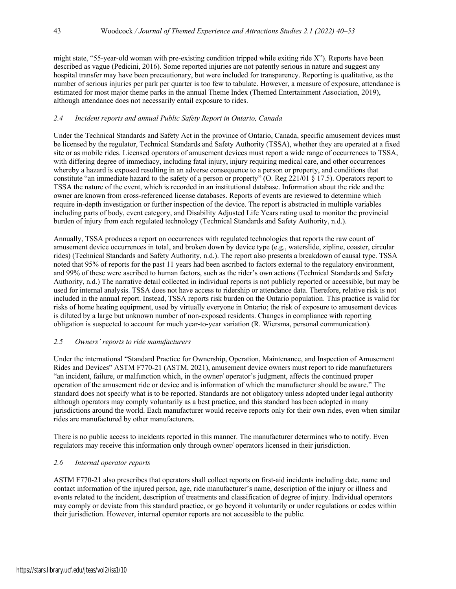might state, "55-year-old woman with pre-existing condition tripped while exiting ride X"). Reports have been described as vague (Pedicini, 2016). Some reported injuries are not patently serious in nature and suggest any hospital transfer may have been precautionary, but were included for transparency. Reporting is qualitative, as the number of serious injuries per park per quarter is too few to tabulate. However, a measure of exposure, attendance is estimated for most major theme parks in the annual Theme Index (Themed Entertainment Association, 2019), although attendance does not necessarily entail exposure to rides.

## *2.4 Incident reports and annual Public Safety Report in Ontario, Canada*

Under the Technical Standards and Safety Act in the province of Ontario, Canada, specific amusement devices must be licensed by the regulator, Technical Standards and Safety Authority (TSSA), whether they are operated at a fixed site or as mobile rides. Licensed operators of amusement devices must report a wide range of occurrences to TSSA, with differing degree of immediacy, including fatal injury, injury requiring medical care, and other occurrences whereby a hazard is exposed resulting in an adverse consequence to a person or property, and conditions that constitute "an immediate hazard to the safety of a person or property" (O. Reg 221/01 § 17.5). Operators report to TSSA the nature of the event, which is recorded in an institutional database. Information about the ride and the owner are known from cross-referenced license databases. Reports of events are reviewed to determine which require in-depth investigation or further inspection of the device. The report is abstracted in multiple variables including parts of body, event category, and Disability Adjusted Life Years rating used to monitor the provincial burden of injury from each regulated technology (Technical Standards and Safety Authority, n.d.).

Annually, TSSA produces a report on occurrences with regulated technologies that reports the raw count of amusement device occurrences in total, and broken down by device type (e.g., waterslide, zipline, coaster, circular rides) (Technical Standards and Safety Authority, n.d.). The report also presents a breakdown of causal type. TSSA noted that 95% of reports for the past 11 years had been ascribed to factors external to the regulatory environment, and 99% of these were ascribed to human factors, such as the rider's own actions (Technical Standards and Safety Authority, n.d.) The narrative detail collected in individual reports is not publicly reported or accessible, but may be used for internal analysis. TSSA does not have access to ridership or attendance data. Therefore, relative risk is not included in the annual report. Instead, TSSA reports risk burden on the Ontario population. This practice is valid for risks of home heating equipment, used by virtually everyone in Ontario; the risk of exposure to amusement devices is diluted by a large but unknown number of non-exposed residents. Changes in compliance with reporting obligation is suspected to account for much year-to-year variation (R. Wiersma, personal communication).

# *2.5 Owners' reports to ride manufacturers*

Under the international "Standard Practice for Ownership, Operation, Maintenance, and Inspection of Amusement Rides and Devices" ASTM F770-21 (ASTM, 2021), amusement device owners must report to ride manufacturers "an incident, failure, or malfunction which, in the owner/ operator's judgment, affects the continued proper operation of the amusement ride or device and is information of which the manufacturer should be aware." The standard does not specify what is to be reported. Standards are not obligatory unless adopted under legal authority although operators may comply voluntarily as a best practice, and this standard has been adopted in many jurisdictions around the world. Each manufacturer would receive reports only for their own rides, even when similar rides are manufactured by other manufacturers.

There is no public access to incidents reported in this manner. The manufacturer determines who to notify. Even regulators may receive this information only through owner/ operators licensed in their jurisdiction.

## *2.6 Internal operator reports*

ASTM F770-21 also prescribes that operators shall collect reports on first-aid incidents including date, name and contact information of the injured person, age, ride manufacturer's name, description of the injury or illness and events related to the incident, description of treatments and classification of degree of injury. Individual operators may comply or deviate from this standard practice, or go beyond it voluntarily or under regulations or codes within their jurisdiction. However, internal operator reports are not accessible to the public.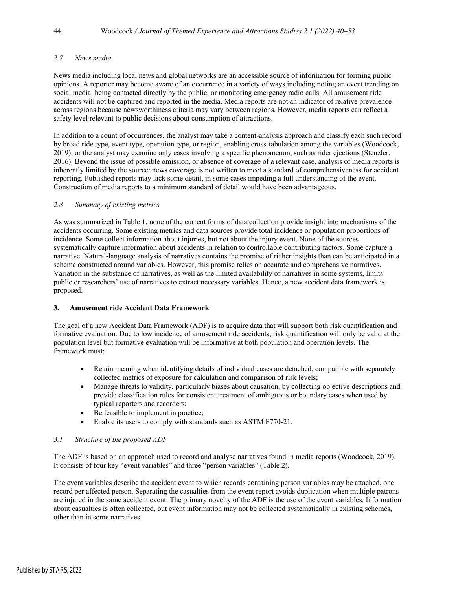## *2.7 News media*

News media including local news and global networks are an accessible source of information for forming public opinions. A reporter may become aware of an occurrence in a variety of ways including noting an event trending on social media, being contacted directly by the public, or monitoring emergency radio calls. All amusement ride accidents will not be captured and reported in the media. Media reports are not an indicator of relative prevalence across regions because newsworthiness criteria may vary between regions. However, media reports can reflect a safety level relevant to public decisions about consumption of attractions.

In addition to a count of occurrences, the analyst may take a content-analysis approach and classify each such record by broad ride type, event type, operation type, or region, enabling cross-tabulation among the variables (Woodcock, 2019), or the analyst may examine only cases involving a specific phenomenon, such as rider ejections (Stenzler, 2016). Beyond the issue of possible omission, or absence of coverage of a relevant case, analysis of media reports is inherently limited by the source: news coverage is not written to meet a standard of comprehensiveness for accident reporting. Published reports may lack some detail, in some cases impeding a full understanding of the event. Construction of media reports to a minimum standard of detail would have been advantageous.

## *2.8 Summary of existing metrics*

As was summarized in Table 1, none of the current forms of data collection provide insight into mechanisms of the accidents occurring. Some existing metrics and data sources provide total incidence or population proportions of incidence. Some collect information about injuries, but not about the injury event. None of the sources systematically capture information about accidents in relation to controllable contributing factors. Some capture a narrative. Natural-language analysis of narratives contains the promise of richer insights than can be anticipated in a scheme constructed around variables. However, this promise relies on accurate and comprehensive narratives. Variation in the substance of narratives, as well as the limited availability of narratives in some systems, limits public or researchers' use of narratives to extract necessary variables. Hence, a new accident data framework is proposed.

## **3. Amusement ride Accident Data Framework**

The goal of a new Accident Data Framework (ADF) is to acquire data that will support both risk quantification and formative evaluation. Due to low incidence of amusement ride accidents, risk quantification will only be valid at the population level but formative evaluation will be informative at both population and operation levels. The framework must:

- Retain meaning when identifying details of individual cases are detached, compatible with separately collected metrics of exposure for calculation and comparison of risk levels;
- Manage threats to validity, particularly biases about causation, by collecting objective descriptions and provide classification rules for consistent treatment of ambiguous or boundary cases when used by typical reporters and recorders;
- Be feasible to implement in practice;
- Enable its users to comply with standards such as ASTM F770-21.

# *3.1 Structure of the proposed ADF*

The ADF is based on an approach used to record and analyse narratives found in media reports (Woodcock, 2019). It consists of four key "event variables" and three "person variables" (Table 2).

The event variables describe the accident event to which records containing person variables may be attached, one record per affected person. Separating the casualties from the event report avoids duplication when multiple patrons are injured in the same accident event. The primary novelty of the ADF is the use of the event variables. Information about casualties is often collected, but event information may not be collected systematically in existing schemes, other than in some narratives.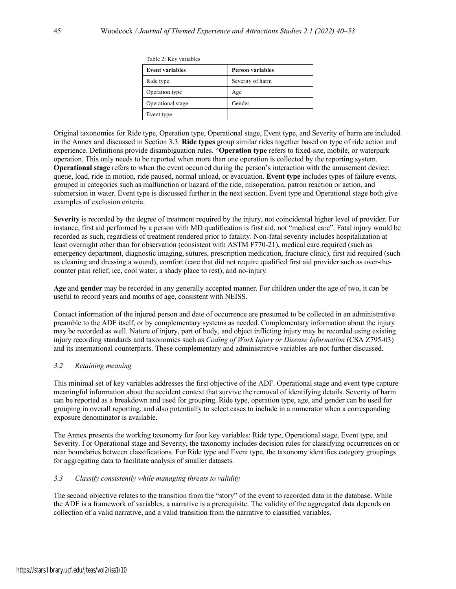| Table 2: Key variables |                         |  |  |
|------------------------|-------------------------|--|--|
| <b>Event variables</b> | <b>Person variables</b> |  |  |
| Ride type              | Severity of harm        |  |  |
| Operation type         | Age                     |  |  |
| Operational stage      | Gender                  |  |  |
| Event type             |                         |  |  |

Original taxonomies for Ride type, Operation type, Operational stage, Event type, and Severity of harm are included in the Annex and discussed in Section 3.3. **Ride types** group similar rides together based on type of ride action and experience. Definitions provide disambiguation rules. "**Operation type** refers to fixed-site, mobile, or waterpark operation. This only needs to be reported when more than one operation is collected by the reporting system. **Operational stage** refers to when the event occurred during the person's interaction with the amusement device: queue, load, ride in motion, ride paused, normal unload, or evacuation. **Event type** includes types of failure events, grouped in categories such as malfunction or hazard of the ride, misoperation, patron reaction or action, and submersion in water. Event type is discussed further in the next section. Event type and Operational stage both give examples of exclusion criteria.

**Severity** is recorded by the degree of treatment required by the injury, not coincidental higher level of provider. For instance, first aid performed by a person with MD qualification is first aid, not "medical care". Fatal injury would be recorded as such, regardless of treatment rendered prior to fatality. Non-fatal severity includes hospitalization at least overnight other than for observation (consistent with ASTM F770-21), medical care required (such as emergency department, diagnostic imaging, sutures, prescription medication, fracture clinic), first aid required (such as cleaning and dressing a wound), comfort (care that did not require qualified first aid provider such as over-thecounter pain relief, ice, cool water, a shady place to rest), and no-injury.

**Age** and **gender** may be recorded in any generally accepted manner. For children under the age of two, it can be useful to record years and months of age, consistent with NEISS.

Contact information of the injured person and date of occurrence are presumed to be collected in an administrative preamble to the ADF itself, or by complementary systems as needed. Complementary information about the injury may be recorded as well. Nature of injury, part of body, and object inflicting injury may be recorded using existing injury recording standards and taxonomies such as *Coding of Work Injury or Disease Information* (CSA Z795-03) and its international counterparts. These complementary and administrative variables are not further discussed.

#### *3.2 Retaining meaning*

This minimal set of key variables addresses the first objective of the ADF. Operational stage and event type capture meaningful information about the accident context that survive the removal of identifying details. Severity of harm can be reported as a breakdown and used for grouping. Ride type, operation type, age, and gender can be used for grouping in overall reporting, and also potentially to select cases to include in a numerator when a corresponding exposure denominator is available.

The Annex presents the working taxonomy for four key variables: Ride type, Operational stage, Event type, and Severity. For Operational stage and Severity, the taxonomy includes decision rules for classifying occurrences on or near boundaries between classifications. For Ride type and Event type, the taxonomy identifies category groupings for aggregating data to facilitate analysis of smaller datasets.

#### *3.3 Classify consistently while managing threats to validity*

The second objective relates to the transition from the "story" of the event to recorded data in the database. While the ADF is a framework of variables, a narrative is a prerequisite. The validity of the aggregated data depends on collection of a valid narrative, and a valid transition from the narrative to classified variables.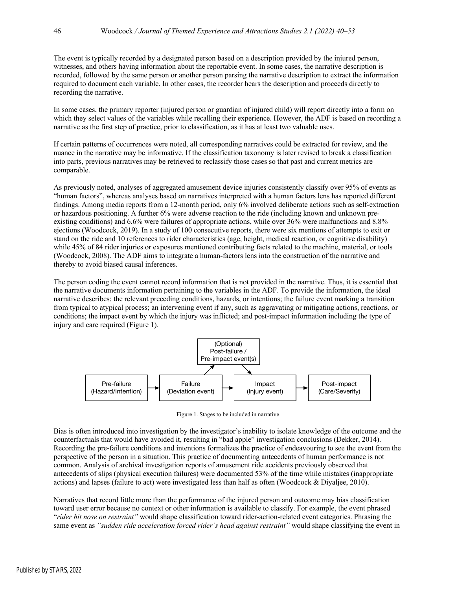The event is typically recorded by a designated person based on a description provided by the injured person, witnesses, and others having information about the reportable event. In some cases, the narrative description is recorded, followed by the same person or another person parsing the narrative description to extract the information required to document each variable. In other cases, the recorder hears the description and proceeds directly to recording the narrative.

In some cases, the primary reporter (injured person or guardian of injured child) will report directly into a form on which they select values of the variables while recalling their experience. However, the ADF is based on recording a narrative as the first step of practice, prior to classification, as it has at least two valuable uses.

If certain patterns of occurrences were noted, all corresponding narratives could be extracted for review, and the nuance in the narrative may be informative. If the classification taxonomy is later revised to break a classification into parts, previous narratives may be retrieved to reclassify those cases so that past and current metrics are comparable.

As previously noted, analyses of aggregated amusement device injuries consistently classify over 95% of events as "human factors", whereas analyses based on narratives interpreted with a human factors lens has reported different findings. Among media reports from a 12-month period, only 6% involved deliberate actions such as self-extraction or hazardous positioning. A further 6% were adverse reaction to the ride (including known and unknown preexisting conditions) and 6.6% were failures of appropriate actions, while over 36% were malfunctions and 8.8% ejections (Woodcock, 2019). In a study of 100 consecutive reports, there were six mentions of attempts to exit or stand on the ride and 10 references to rider characteristics (age, height, medical reaction, or cognitive disability) while 45% of 84 rider injuries or exposures mentioned contributing facts related to the machine, material, or tools (Woodcock, 2008). The ADF aims to integrate a human-factors lens into the construction of the narrative and thereby to avoid biased causal inferences.

The person coding the event cannot record information that is not provided in the narrative. Thus, it is essential that the narrative documents information pertaining to the variables in the ADF. To provide the information, the ideal narrative describes: the relevant preceding conditions, hazards, or intentions; the failure event marking a transition from typical to atypical process; an intervening event if any, such as aggravating or mitigating actions, reactions, or conditions; the impact event by which the injury was inflicted; and post-impact information including the type of injury and care required (Figure 1).



Figure 1. Stages to be included in narrative

Bias is often introduced into investigation by the investigator's inability to isolate knowledge of the outcome and the counterfactuals that would have avoided it, resulting in "bad apple" investigation conclusions (Dekker, 2014). Recording the pre-failure conditions and intentions formalizes the practice of endeavouring to see the event from the perspective of the person in a situation. This practice of documenting antecedents of human performance is not common. Analysis of archival investigation reports of amusement ride accidents previously observed that antecedents of slips (physical execution failures) were documented 53% of the time while mistakes (inappropriate actions) and lapses (failure to act) were investigated less than half as often (Woodcock & Diyaljee, 2010).

Narratives that record little more than the performance of the injured person and outcome may bias classification toward user error because no context or other information is available to classify. For example, the event phrased "*rider hit nose on restraint"* would shape classification toward rider-action-related event categories. Phrasing the same event as *"sudden ride acceleration forced rider's head against restraint"* would shape classifying the event in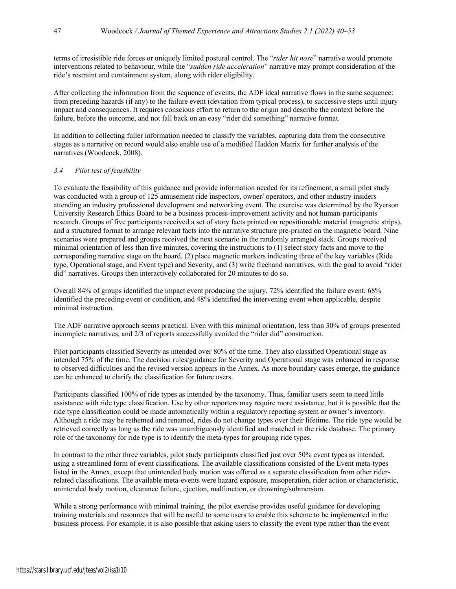terms of irresistible ride forces or uniquely limited postural control. The "*rider hit nose*" narrative would promote interventions related to behaviour, while the "*sudden ride acceleration*" narrative may prompt consideration of the ride's restraint and containment system, along with rider eligibility.

After collecting the information from the sequence of events, the ADF ideal narrative flows in the same sequence: from preceding hazards (if any) to the failure event (deviation from typical process), to successive steps until injury impact and consequences. It requires conscious effort to return to the origin and describe the context before the failure, before the outcome, and not fall back on an easy "rider did something" narrative format.

In addition to collecting fuller information needed to classify the variables, capturing data from the consecutive stages as a narrative on record would also enable use of a modified Haddon Matrix for further analysis of the narratives (Woodcock, 2008).

## *3.4 Pilot test of feasibility*

To evaluate the feasibility of this guidance and provide information needed for its refinement, a small pilot study was conducted with a group of 125 amusement ride inspectors, owner/ operators, and other industry insiders attending an industry professional development and networking event. The exercise was determined by the Ryerson University Research Ethics Board to be a business process-improvement activity and not human-participants research. Groups of five participants received a set of story facts printed on repositionable material (magnetic strips), and a structured format to arrange relevant facts into the narrative structure pre-printed on the magnetic board. Nine scenarios were prepared and groups received the next scenario in the randomly arranged stack. Groups received minimal orientation of less than five minutes, covering the instructions to (1) select story facts and move to the corresponding narrative stage on the board, (2) place magnetic markers indicating three of the key variables (Ride type, Operational stage, and Event type) and Severity, and (3) write freehand narratives, with the goal to avoid "rider did" narratives. Groups then interactively collaborated for 20 minutes to do so.

Overall 84% of groups identified the impact event producing the injury, 72% identified the failure event, 68% identified the preceding event or condition, and 48% identified the intervening event when applicable, despite minimal instruction.

The ADF narrative approach seems practical. Even with this minimal orientation, less than 30% of groups presented incomplete narratives, and 2/3 of reports successfully avoided the "rider did" construction.

Pilot participants classified Severity as intended over 80% of the time. They also classified Operational stage as intended 75% of the time. The decision rules/guidance for Severity and Operational stage was enhanced in response to observed difficulties and the revised version appears in the Annex. As more boundary cases emerge, the guidance can be enhanced to clarify the classification for future users.

Participants classified 100% of ride types as intended by the taxonomy. Thus, familiar users seem to need little assistance with ride type classification. Use by other reporters may require more assistance, but it is possible that the ride type classification could be made automatically within a regulatory reporting system or owner's inventory. Although a ride may be rethemed and renamed, rides do not change types over their lifetime. The ride type would be retrieved correctly as long as the ride was unambiguously identified and matched in the ride database. The primary role of the taxonomy for ride type is to identify the meta-types for grouping ride types.

In contrast to the other three variables, pilot study participants classified just over 50% event types as intended, using a streamlined form of event classifications. The available classifications consisted of the Event meta-types listed in the Annex, except that unintended body motion was offered as a separate classification from other riderrelated classifications. The available meta-events were hazard exposure, misoperation, rider action or characteristic, unintended body motion, clearance failure, ejection, malfunction, or drowning/submersion.

While a strong performance with minimal training, the pilot exercise provides useful guidance for developing training materials and resources that will be useful to some users to enable this scheme to be implemented in the business process. For example, it is also possible that asking users to classify the event type rather than the event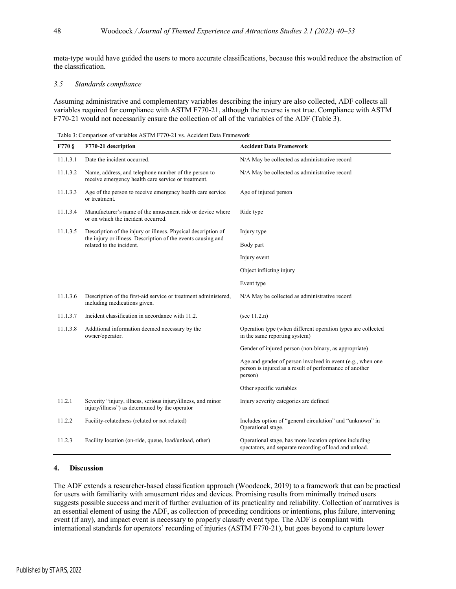meta-type would have guided the users to more accurate classifications, because this would reduce the abstraction of the classification.

#### *3.5 Standards compliance*

Assuming administrative and complementary variables describing the injury are also collected, ADF collects all variables required for compliance with ASTM F770-21, although the reverse is not true. Compliance with ASTM F770-21 would not necessarily ensure the collection of all of the variables of the ADF (Table 3).

Table 3: Comparison of variables ASTM F770-21 vs. Accident Data Framework

| $F770$ § | F770-21 description                                                                                            | <b>Accident Data Framework</b>                                                                                                   |  |  |
|----------|----------------------------------------------------------------------------------------------------------------|----------------------------------------------------------------------------------------------------------------------------------|--|--|
| 11.1.3.1 | Date the incident occurred.                                                                                    | N/A May be collected as administrative record                                                                                    |  |  |
| 11.1.3.2 | Name, address, and telephone number of the person to<br>receive emergency health care service or treatment.    | N/A May be collected as administrative record                                                                                    |  |  |
| 11.1.3.3 | Age of the person to receive emergency health care service<br>or treatment.                                    | Age of injured person                                                                                                            |  |  |
| 11.1.3.4 | Manufacturer's name of the amusement ride or device where<br>or on which the incident occurred.                | Ride type                                                                                                                        |  |  |
| 11.1.3.5 | Description of the injury or illness. Physical description of                                                  | Injury type                                                                                                                      |  |  |
|          | the injury or illness. Description of the events causing and<br>related to the incident.                       | Body part                                                                                                                        |  |  |
|          |                                                                                                                | Injury event                                                                                                                     |  |  |
|          |                                                                                                                | Object inflicting injury                                                                                                         |  |  |
|          |                                                                                                                | Event type                                                                                                                       |  |  |
| 11.1.3.6 | Description of the first-aid service or treatment administered,<br>including medications given.                | N/A May be collected as administrative record                                                                                    |  |  |
| 11.1.3.7 | Incident classification in accordance with 11.2.                                                               | (see $11.2.n$ )                                                                                                                  |  |  |
| 11.1.3.8 | Additional information deemed necessary by the<br>owner/operator.                                              | Operation type (when different operation types are collected<br>in the same reporting system)                                    |  |  |
|          |                                                                                                                | Gender of injured person (non-binary, as appropriate)                                                                            |  |  |
|          |                                                                                                                | Age and gender of person involved in event (e.g., when one<br>person is injured as a result of performance of another<br>person) |  |  |
|          |                                                                                                                | Other specific variables                                                                                                         |  |  |
| 11.2.1   | Severity "injury, illness, serious injury/illness, and minor<br>injury/illness") as determined by the operator | Injury severity categories are defined                                                                                           |  |  |
| 11.2.2   | Facility-relatedness (related or not related)                                                                  | Includes option of "general circulation" and "unknown" in<br>Operational stage.                                                  |  |  |
| 11.2.3   | Facility location (on-ride, queue, load/unload, other)                                                         | Operational stage, has more location options including<br>spectators, and separate recording of load and unload.                 |  |  |

#### **4. Discussion**

The ADF extends a researcher-based classification approach (Woodcock, 2019) to a framework that can be practical for users with familiarity with amusement rides and devices. Promising results from minimally trained users suggests possible success and merit of further evaluation of its practicality and reliability. Collection of narratives is an essential element of using the ADF, as collection of preceding conditions or intentions, plus failure, intervening event (if any), and impact event is necessary to properly classify event type. The ADF is compliant with international standards for operators' recording of injuries (ASTM F770-21), but goes beyond to capture lower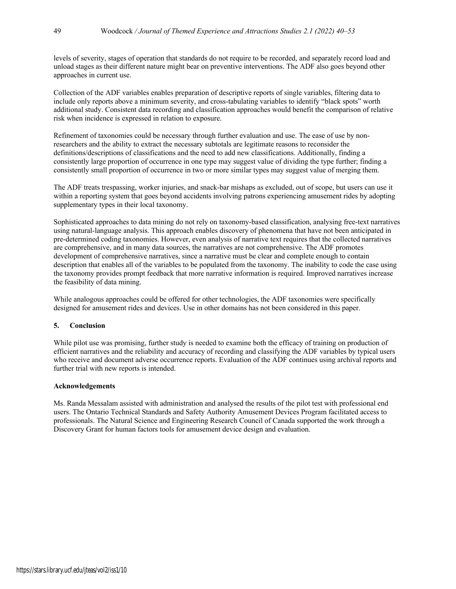levels of severity, stages of operation that standards do not require to be recorded, and separately record load and unload stages as their different nature might bear on preventive interventions. The ADF also goes beyond other approaches in current use.

Collection of the ADF variables enables preparation of descriptive reports of single variables, filtering data to include only reports above a minimum severity, and cross-tabulating variables to identify "black spots" worth additional study. Consistent data recording and classification approaches would benefit the comparison of relative risk when incidence is expressed in relation to exposure.

Refinement of taxonomies could be necessary through further evaluation and use. The ease of use by nonresearchers and the ability to extract the necessary subtotals are legitimate reasons to reconsider the definitions/descriptions of classifications and the need to add new classifications. Additionally, finding a consistently large proportion of occurrence in one type may suggest value of dividing the type further; finding a consistently small proportion of occurrence in two or more similar types may suggest value of merging them.

The ADF treats trespassing, worker injuries, and snack-bar mishaps as excluded, out of scope, but users can use it within a reporting system that goes beyond accidents involving patrons experiencing amusement rides by adopting supplementary types in their local taxonomy.

Sophisticated approaches to data mining do not rely on taxonomy-based classification, analysing free-text narratives using natural-language analysis. This approach enables discovery of phenomena that have not been anticipated in pre-determined coding taxonomies. However, even analysis of narrative text requires that the collected narratives are comprehensive, and in many data sources, the narratives are not comprehensive. The ADF promotes development of comprehensive narratives, since a narrative must be clear and complete enough to contain description that enables all of the variables to be populated from the taxonomy. The inability to code the case using the taxonomy provides prompt feedback that more narrative information is required. Improved narratives increase the feasibility of data mining.

While analogous approaches could be offered for other technologies, the ADF taxonomies were specifically designed for amusement rides and devices. Use in other domains has not been considered in this paper.

## **5. Conclusion**

While pilot use was promising, further study is needed to examine both the efficacy of training on production of efficient narratives and the reliability and accuracy of recording and classifying the ADF variables by typical users who receive and document adverse occurrence reports. Evaluation of the ADF continues using archival reports and further trial with new reports is intended.

#### **Acknowledgements**

Ms. Randa Messalam assisted with administration and analysed the results of the pilot test with professional end users. The Ontario Technical Standards and Safety Authority Amusement Devices Program facilitated access to professionals. The Natural Science and Engineering Research Council of Canada supported the work through a Discovery Grant for human factors tools for amusement device design and evaluation.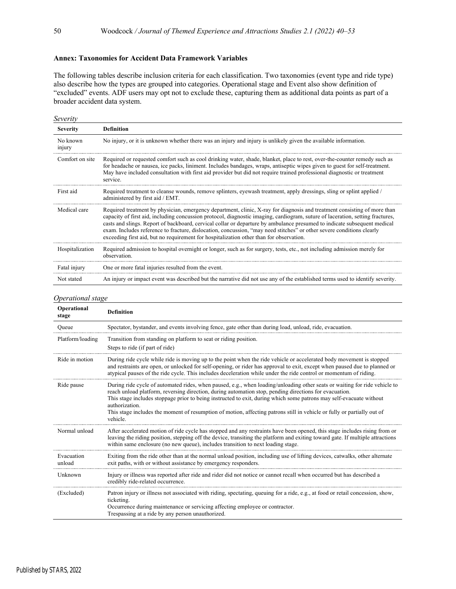## **Annex: Taxonomies for Accident Data Framework Variables**

The following tables describe inclusion criteria for each classification. Two taxonomies (event type and ride type) also describe how the types are grouped into categories. Operational stage and Event also show definition of "excluded" events. ADF users may opt not to exclude these, capturing them as additional data points as part of a broader accident data system.

| Severity           |                                                                                                                                                                                                                                                                                                                                                                                                                                                                                                                                                                                                            |
|--------------------|------------------------------------------------------------------------------------------------------------------------------------------------------------------------------------------------------------------------------------------------------------------------------------------------------------------------------------------------------------------------------------------------------------------------------------------------------------------------------------------------------------------------------------------------------------------------------------------------------------|
| <b>Severity</b>    | <b>Definition</b>                                                                                                                                                                                                                                                                                                                                                                                                                                                                                                                                                                                          |
| No known<br>injury | No injury, or it is unknown whether there was an injury and injury is unlikely given the available information.                                                                                                                                                                                                                                                                                                                                                                                                                                                                                            |
| Comfort on site    | Required or requested comfort such as cool drinking water, shade, blanket, place to rest, over-the-counter remedy such as<br>for headache or nausea, ice packs, liniment. Includes bandages, wraps, antiseptic wipes given to guest for self-treatment.<br>May have included consultation with first aid provider but did not require trained professional diagnostic or treatment<br>service.                                                                                                                                                                                                             |
| First aid          | Required treatment to cleanse wounds, remove splinters, eyewash treatment, apply dressings, sling or splint applied /<br>administered by first aid / EMT.                                                                                                                                                                                                                                                                                                                                                                                                                                                  |
| Medical care       | Required treatment by physician, emergency department, clinic, X-ray for diagnosis and treatment consisting of more than<br>capacity of first aid, including concussion protocol, diagnostic imaging, cardiogram, suture of laceration, setting fractures,<br>casts and slings. Report of backboard, cervical collar or departure by ambulance presumed to indicate subsequent medical<br>exam. Includes reference to fracture, dislocation, concussion, "may need stitches" or other severe conditions clearly<br>exceeding first aid, but no requirement for hospitalization other than for observation. |
| Hospitalization    | Required admission to hospital overnight or longer, such as for surgery, tests, etc., not including admission merely for<br>observation.                                                                                                                                                                                                                                                                                                                                                                                                                                                                   |
| Fatal injury       | One or more fatal injuries resulted from the event.                                                                                                                                                                                                                                                                                                                                                                                                                                                                                                                                                        |
| Not stated         | An injury or impact event was described but the narrative did not use any of the established terms used to identify severity.                                                                                                                                                                                                                                                                                                                                                                                                                                                                              |

#### *Operational stage*

| Operational<br>stage | <b>Definition</b>                                                                                                                                                                                                                                                                                                                                                                                                                                                                                                    |
|----------------------|----------------------------------------------------------------------------------------------------------------------------------------------------------------------------------------------------------------------------------------------------------------------------------------------------------------------------------------------------------------------------------------------------------------------------------------------------------------------------------------------------------------------|
| Queue                | Spectator, bystander, and events involving fence, gate other than during load, unload, ride, evacuation.                                                                                                                                                                                                                                                                                                                                                                                                             |
| Platform/loading     | Transition from standing on platform to seat or riding position.<br>Steps to ride (if part of ride)                                                                                                                                                                                                                                                                                                                                                                                                                  |
| Ride in motion       | During ride cycle while ride is moving up to the point when the ride vehicle or accelerated body movement is stopped<br>and restraints are open, or unlocked for self-opening, or rider has approval to exit, except when paused due to planned or<br>atypical pauses of the ride cycle. This includes deceleration while under the ride control or momentum of riding.                                                                                                                                              |
| Ride pause           | During ride cycle of automated rides, when paused, e.g., when loading/unloading other seats or waiting for ride vehicle to<br>reach unload platform, reversing direction, during automation stop, pending directions for evacuation.<br>This stage includes stoppage prior to being instructed to exit, during which some patrons may self-evacuate without<br>authorization.<br>This stage includes the moment of resumption of motion, affecting patrons still in vehicle or fully or partially out of<br>vehicle. |
| Normal unload        | After accelerated motion of ride cycle has stopped and any restraints have been opened, this stage includes rising from or<br>leaving the riding position, stepping off the device, transiting the platform and exiting toward gate. If multiple attractions<br>within same enclosure (no new queue), includes transition to next loading stage.                                                                                                                                                                     |
| Evacuation<br>unload | Exiting from the ride other than at the normal unload position, including use of lifting devices, catwalks, other alternate<br>exit paths, with or without assistance by emergency responders.                                                                                                                                                                                                                                                                                                                       |
| Unknown              | Injury or illness was reported after ride and rider did not notice or cannot recall when occurred but has described a<br>credibly ride-related occurrence.                                                                                                                                                                                                                                                                                                                                                           |
| (Excluded)           | Patron injury or illness not associated with riding, spectating, queuing for a ride, e.g., at food or retail concession, show,<br>ticketing.<br>Occurrence during maintenance or servicing affecting employee or contractor.<br>Trespassing at a ride by any person unauthorized.                                                                                                                                                                                                                                    |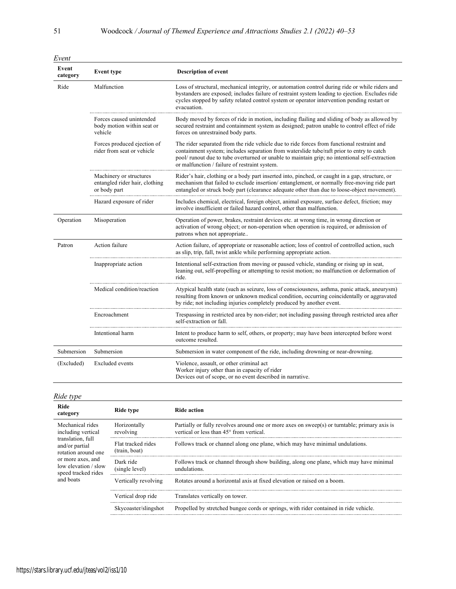| Event             |                                                                           |                                                                                                                                                                                                                                                                                                                                            |
|-------------------|---------------------------------------------------------------------------|--------------------------------------------------------------------------------------------------------------------------------------------------------------------------------------------------------------------------------------------------------------------------------------------------------------------------------------------|
| Event<br>category | <b>Event type</b>                                                         | <b>Description of event</b>                                                                                                                                                                                                                                                                                                                |
| Ride              | Malfunction                                                               | Loss of structural, mechanical integrity, or automation control during ride or while riders and<br>bystanders are exposed; includes failure of restraint system leading to ejection. Excludes ride<br>cycles stopped by safety related control system or operator intervention pending restart or<br>evacuation.                           |
|                   | Forces caused unintended<br>body motion within seat or<br>vehicle         | Body moved by forces of ride in motion, including flailing and sliding of body as allowed by<br>secured restraint and containment system as designed; patron unable to control effect of ride<br>forces on unrestrained body parts.                                                                                                        |
|                   | Forces produced ejection of<br>rider from seat or vehicle                 | The rider separated from the ride vehicle due to ride forces from functional restraint and<br>containment system; includes separation from waterslide tube/raft prior to entry to catch<br>pool/ runout due to tube overturned or unable to maintain grip; no intentional self-extraction<br>or malfunction / failure of restraint system. |
|                   | Machinery or structures<br>entangled rider hair, clothing<br>or body part | Rider's hair, clothing or a body part inserted into, pinched, or caught in a gap, structure, or<br>mechanism that failed to exclude insertion/entanglement, or normally free-moving ride part<br>entangled or struck body part (clearance adequate other than due to loose-object movement).                                               |
|                   | Hazard exposure of rider                                                  | Includes chemical, electrical, foreign object, animal exposure, surface defect, friction; may<br>involve insufficient or failed hazard control, other than malfunction.                                                                                                                                                                    |
| Operation         | Misoperation                                                              | Operation of power, brakes, restraint devices etc. at wrong time, in wrong direction or<br>activation of wrong object; or non-operation when operation is required, or admission of<br>patrons when not appropriate                                                                                                                        |
| Patron            | Action failure                                                            | Action failure, of appropriate or reasonable action; loss of control of controlled action, such<br>as slip, trip, fall, twist ankle while performing appropriate action.                                                                                                                                                                   |
|                   | Inappropriate action                                                      | Intentional self-extraction from moving or paused vehicle, standing or rising up in seat,<br>leaning out, self-propelling or attempting to resist motion; no malfunction or deformation of<br>ride.                                                                                                                                        |
|                   | Medical condition/reaction                                                | Atypical health state (such as seizure, loss of consciousness, asthma, panic attack, aneurysm)<br>resulting from known or unknown medical condition, occurring coincidentally or aggravated<br>by ride; not including injuries completely produced by another event.                                                                       |
|                   | Encroachment                                                              | Trespassing in restricted area by non-rider; not including passing through restricted area after<br>self-extraction or fall.                                                                                                                                                                                                               |
|                   | Intentional harm                                                          | Intent to produce harm to self, others, or property; may have been intercepted before worst<br>outcome resulted.                                                                                                                                                                                                                           |
| Submersion        | Submersion                                                                | Submersion in water component of the ride, including drowning or near-drowning.                                                                                                                                                                                                                                                            |
| (Excluded)        | Excluded events                                                           | Violence, assault, or other criminal act<br>Worker injury other than in capacity of rider<br>Devices out of scope, or no event described in narrative.                                                                                                                                                                                     |

# *Ride type*

| Ride action                                                                                                                                           |  |
|-------------------------------------------------------------------------------------------------------------------------------------------------------|--|
| Partially or fully revolves around one or more axes on sweep(s) or turntable; primary axis is<br>vertical or less than 45 <sup>°</sup> from vertical. |  |
| Follows track or channel along one plane, which may have minimal undulations.                                                                         |  |
| Follows track or channel through show building, along one plane, which may have minimal<br>undulations.                                               |  |
| Rotates around a horizontal axis at fixed elevation or raised on a boom.                                                                              |  |
| Translates vertically on tower.                                                                                                                       |  |
| Propelled by stretched bungee cords or springs, with rider contained in ride vehicle.                                                                 |  |
|                                                                                                                                                       |  |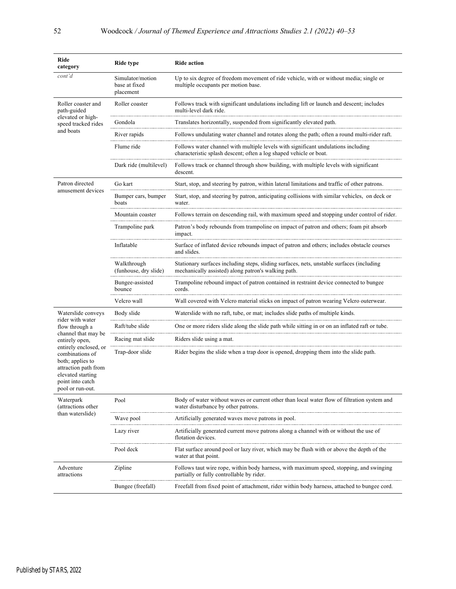| Ride<br>category                                                                                                                                  | <b>Ride type</b>                                                                                      | <b>Ride action</b>                                                                                                                                      |  |  |
|---------------------------------------------------------------------------------------------------------------------------------------------------|-------------------------------------------------------------------------------------------------------|---------------------------------------------------------------------------------------------------------------------------------------------------------|--|--|
| cont'd                                                                                                                                            | Simulator/motion<br>base at fixed<br>placement                                                        | Up to six degree of freedom movement of ride vehicle, with or without media; single or<br>multiple occupants per motion base.                           |  |  |
| Roller coaster and<br>path-guided                                                                                                                 | Roller coaster                                                                                        | Follows track with significant undulations including lift or launch and descent; includes<br>multi-level dark ride.                                     |  |  |
| elevated or high-<br>speed tracked rides                                                                                                          | Gondola                                                                                               | Translates horizontally, suspended from significantly elevated path.                                                                                    |  |  |
| and boats                                                                                                                                         | River rapids                                                                                          | Follows undulating water channel and rotates along the path; often a round multi-rider raft.                                                            |  |  |
|                                                                                                                                                   | Flume ride                                                                                            | Follows water channel with multiple levels with significant undulations including<br>characteristic splash descent; often a log shaped vehicle or boat. |  |  |
|                                                                                                                                                   | Dark ride (multilevel)                                                                                | Follows track or channel through show building, with multiple levels with significant<br>descent.                                                       |  |  |
| Patron directed                                                                                                                                   | Go kart                                                                                               | Start, stop, and steering by patron, within lateral limitations and traffic of other patrons.                                                           |  |  |
| amusement devices                                                                                                                                 | Bumper cars, bumper<br>boats                                                                          | Start, stop, and steering by patron, anticipating collisions with similar vehicles, on deck or<br>water.                                                |  |  |
|                                                                                                                                                   | Mountain coaster                                                                                      | Follows terrain on descending rail, with maximum speed and stopping under control of rider.                                                             |  |  |
|                                                                                                                                                   | Trampoline park                                                                                       | Patron's body rebounds from trampoline on impact of patron and others; foam pit absorb<br>impact.                                                       |  |  |
|                                                                                                                                                   | Inflatable                                                                                            | Surface of inflated device rebounds impact of patron and others; includes obstacle courses<br>and slides.                                               |  |  |
|                                                                                                                                                   | Walkthrough<br>(funhouse, dry slide)                                                                  | Stationary surfaces including steps, sliding surfaces, nets, unstable surfaces (including<br>mechanically assisted) along patron's walking path.        |  |  |
|                                                                                                                                                   | Bungee-assisted<br>bounce                                                                             | Trampoline rebound impact of patron contained in restraint device connected to bungee<br>cords.                                                         |  |  |
|                                                                                                                                                   | Wall covered with Velcro material sticks on impact of patron wearing Velcro outerwear.<br>Velcro wall |                                                                                                                                                         |  |  |
| Waterslide conveys                                                                                                                                | Body slide                                                                                            | Waterslide with no raft, tube, or mat; includes slide paths of multiple kinds.                                                                          |  |  |
| rider with water<br>flow through a                                                                                                                | Raft/tube slide                                                                                       | One or more riders slide along the slide path while sitting in or on an inflated raft or tube.                                                          |  |  |
| channel that may be<br>entirely open,                                                                                                             | Racing mat slide                                                                                      | Riders slide using a mat.                                                                                                                               |  |  |
| entirely enclosed, or<br>combinations of<br>both; applies to<br>attraction path from<br>elevated starting<br>point into catch<br>pool or run-out. | Trap-door slide                                                                                       | Rider begins the slide when a trap door is opened, dropping them into the slide path.                                                                   |  |  |
| Waterpark<br>(attractions other                                                                                                                   | Pool                                                                                                  | Body of water without waves or current other than local water flow of filtration system and<br>water disturbance by other patrons.                      |  |  |
| than waterslide)                                                                                                                                  | Wave pool                                                                                             | Artificially generated waves move patrons in pool.                                                                                                      |  |  |
|                                                                                                                                                   | Lazy river                                                                                            | Artificially generated current move patrons along a channel with or without the use of<br>flotation devices.                                            |  |  |
|                                                                                                                                                   | Pool deck                                                                                             | Flat surface around pool or lazy river, which may be flush with or above the depth of the<br>water at that point.                                       |  |  |
| Adventure<br>attractions                                                                                                                          | Zipline                                                                                               | Follows taut wire rope, within body harness, with maximum speed, stopping, and swinging<br>partially or fully controllable by rider.                    |  |  |
|                                                                                                                                                   | Bungee (freefall)                                                                                     | Freefall from fixed point of attachment, rider within body harness, attached to bungee cord.                                                            |  |  |